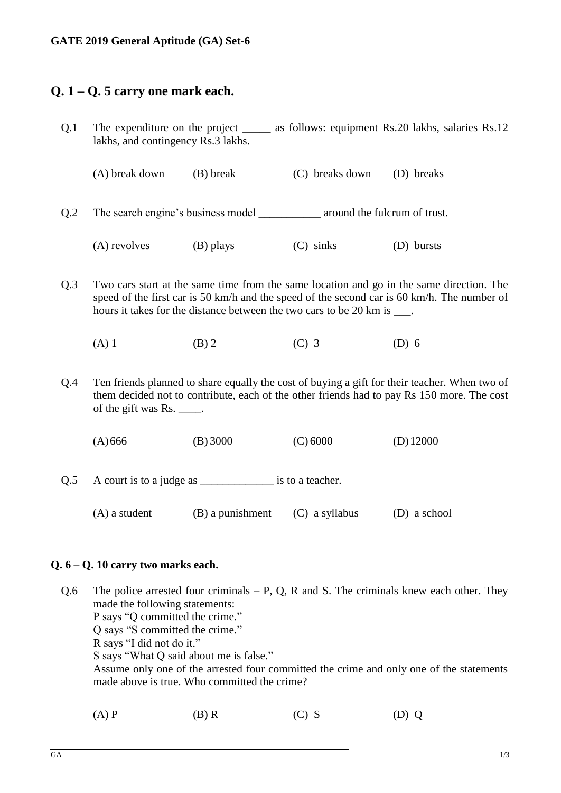# **Q. 1 – Q. 5 carry one mark each.**

- Q.1 The expenditure on the project \_\_\_\_\_\_ as follows: equipment Rs.20 lakhs, salaries Rs.12 lakhs, and contingency Rs.3 lakhs. (A) break down (B) break (C) breaks down (D) breaks Q.2 The search engine's business model around the fulcrum of trust. (A) revolves (B) plays (C) sinks (D) bursts
- Q.3 Two cars start at the same time from the same location and go in the same direction. The speed of the first car is 50 km/h and the speed of the second car is 60 km/h. The number of hours it takes for the distance between the two cars to be 20 km is  $\qquad$ .
	- (A) 1 (B) 2 (C) 3 (D) 6
- Q.4 Ten friends planned to share equally the cost of buying a gift for their teacher. When two of them decided not to contribute, each of the other friends had to pay Rs 150 more. The cost of the gift was Rs.  $\qquad$ .
	- (A)666 (B) 3000 (C) 6000 (D)12000
- Q.5 A court is to a judge as \_\_\_\_\_\_\_\_\_\_\_\_\_\_\_\_\_\_ is to a teacher.
	- (A) a student (B) a punishment (C) a syllabus (D) a school

## **Q. 6 – Q. 10 carry two marks each.**

- Q.6 The police arrested four criminals  $P$ , Q, R and S. The criminals knew each other. They made the following statements: P says "Q committed the crime." Q says "S committed the crime." R says "I did not do it." S says "What Q said about me is false." Assume only one of the arrested four committed the crime and only one of the statements made above is true. Who committed the crime?
	- (A) P (B) R (C) S (D) Q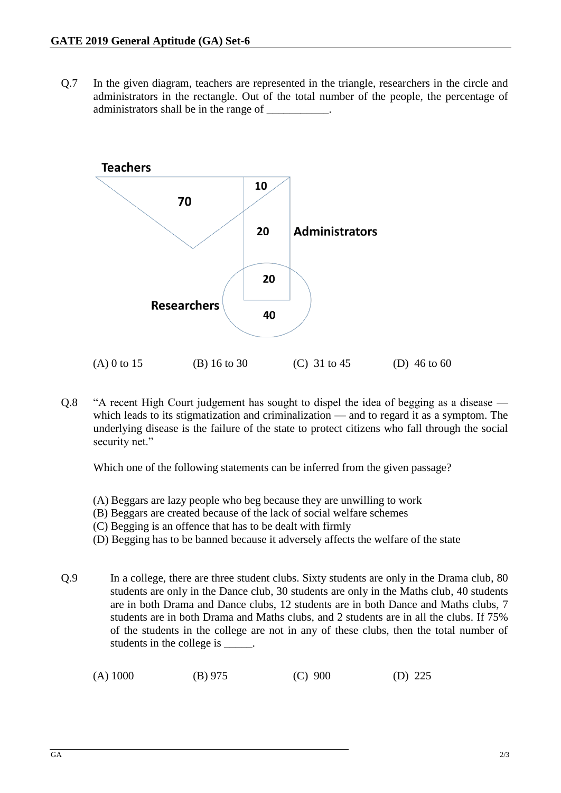Q.7 In the given diagram, teachers are represented in the triangle, researchers in the circle and administrators in the rectangle. Out of the total number of the people, the percentage of administrators shall be in the range of \_\_\_\_\_\_\_\_\_\_\_.



Q.8 "A recent High Court judgement has sought to dispel the idea of begging as a disease which leads to its stigmatization and criminalization — and to regard it as a symptom. The underlying disease is the failure of the state to protect citizens who fall through the social security net."

Which one of the following statements can be inferred from the given passage?

- (A) Beggars are lazy people who beg because they are unwilling to work
- (B) Beggars are created because of the lack of social welfare schemes
- (C) Begging is an offence that has to be dealt with firmly
- (D) Begging has to be banned because it adversely affects the welfare of the state

Q.9 In a college, there are three student clubs. Sixty students are only in the Drama club, 80 students are only in the Dance club, 30 students are only in the Maths club, 40 students are in both Drama and Dance clubs, 12 students are in both Dance and Maths clubs, 7 students are in both Drama and Maths clubs, and 2 students are in all the clubs. If 75% of the students in the college are not in any of these clubs, then the total number of students in the college is  $\overline{\phantom{a}}$ 

| $(A)$ 1000 | $(B)$ 975 | $(C)$ 900 | (D) $225$ |
|------------|-----------|-----------|-----------|
|------------|-----------|-----------|-----------|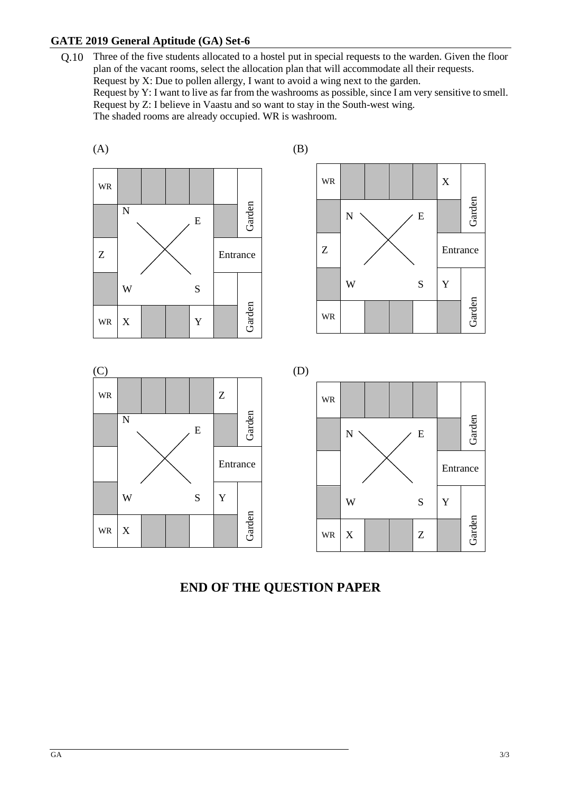## **GATE 2019 General Aptitude (GA) Set-6**

Q.10 Three of the five students allocated to a hostel put in special requests to the warden. Given the floor plan of the vacant rooms, select the allocation plan that will accommodate all their requests. Request by X: Due to pollen allergy, I want to avoid a wing next to the garden. Request by Y: I want to live as far from the washrooms as possible, since I am very sensitive to smell. Request by Z: I believe in Vaastu and so want to stay in the South-west wing. The shaded rooms are already occupied. WR is washroom.



# **END OF THE QUESTION PAPER**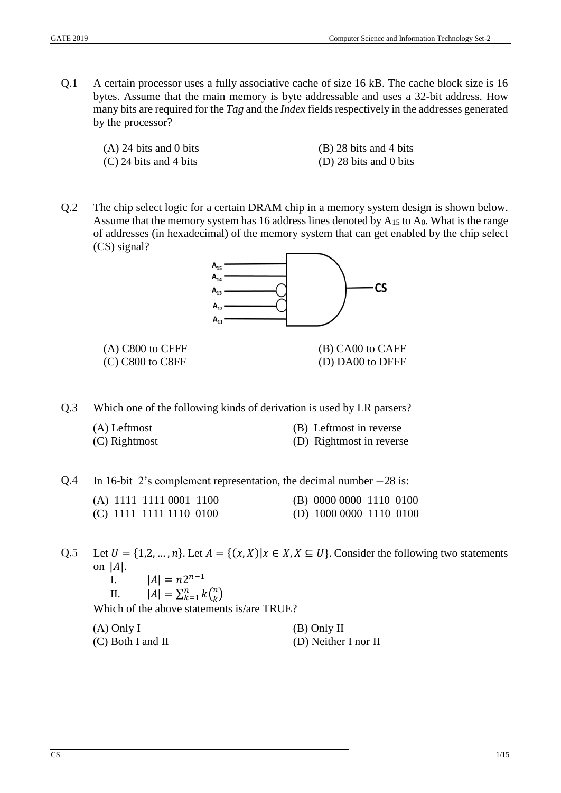Q.1 A certain processor uses a fully associative cache of size 16 kB. The cache block size is 16 bytes. Assume that the main memory is byte addressable and uses a 32-bit address. How many bits are required for the *Tag* and the *Index* fields respectively in the addresses generated by the processor?

(C) 24 bits and 4 bits (D) 28 bits and 0 bits

(A) 24 bits and 0 bits (B) 28 bits and 4 bits

Q.2 The chip select logic for a certain DRAM chip in a memory system design is shown below. Assume that the memory system has 16 address lines denoted by  $A_{15}$  to  $A_0$ . What is the range of addresses (in hexadecimal) of the memory system that can get enabled by the chip select (CS) signal?



(C) C800 to C8FF (D) DA00 to DFFF

- Q.3 Which one of the following kinds of derivation is used by LR parsers?
	- $(A)$  Leftmost

| (A) Leftmost  | (B) Leftmost in reverse  |
|---------------|--------------------------|
| (C) Rightmost | (D) Rightmost in reverse |

Q.4 In 16-bit 2's complement representation, the decimal number −28 is:

|  | (A) 1111 1111 0001 1100 |  | (B) 0000 0000 1110 0100      |  |
|--|-------------------------|--|------------------------------|--|
|  | (C) 1111 1111 1110 0100 |  | (D) $1000\,0000\,1110\,0100$ |  |

Q.5 Let  $U = \{1, 2, ..., n\}$ . Let  $A = \{(x, X) | x \in X, X \subseteq U\}$ . Consider the following two statements on  $|A|$ .

I.  $|A| = n2^{n-1}$ 

II. 
$$
|A| = \sum_{k=1}^{n} k {n \choose k}
$$

Which of the above statements is/are TRUE?

| $(A)$ Only I        | (B) Only II          |
|---------------------|----------------------|
| $(C)$ Both I and II | (D) Neither I nor II |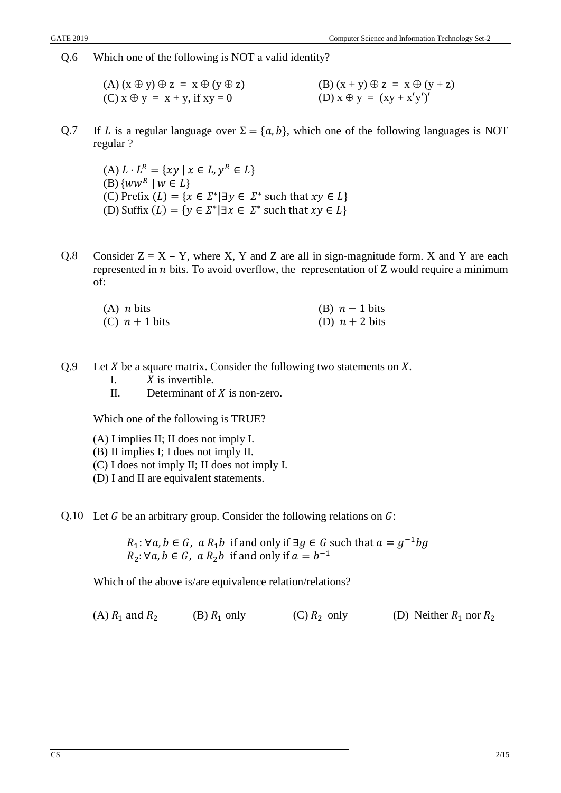Q.6 Which one of the following is NOT a valid identity?

(A)  $(x \oplus y) \oplus z = x \oplus (y \oplus z)$  (B)  $(x + y) \oplus z = x \oplus (y + z)$ (C)  $x \oplus y = x + y$ , if  $xy = 0$  (D)  $x \oplus y = (xy + x'y')'$ 

Q.7 If L is a regular language over  $\Sigma = \{a, b\}$ , which one of the following languages is NOT regular ?

(A)  $L \cdot L^R = \{ xy \mid x \in L, y^R \in L \}$ (B)  $\{ww^R \mid w \in L\}$ (C) Prefix  $(L) = \{x \in \Sigma^* | \exists y \in \Sigma^* \text{ such that } xy \in L\}$ (D) Suffix  $(L) = \{ y \in \Sigma^* | \exists x \in \Sigma^* \text{ such that } xy \in L \}$ 

Q.8 Consider  $Z = X - Y$ , where X, Y and Z are all in sign-magnitude form. X and Y are each represented in  $n$  bits. To avoid overflow, the representation of  $Z$  would require a minimum of:

| $(A)$ <i>n</i> bits | (B) $n-1$ bits   |
|---------------------|------------------|
| (C) $n+1$ bits      | (D) $n + 2$ bits |

- Q.9 Let  $X$  be a square matrix. Consider the following two statements on  $X$ .
	- I.  $X$  is invertible.
	- II. Determinant of  $X$  is non-zero.

Which one of the following is TRUE?

- (A) I implies II; II does not imply I.
- (B) II implies I; I does not imply II.
- (C) I does not imply II; II does not imply I.
- (D) I and II are equivalent statements.
- Q.10 Let G be an arbitrary group. Consider the following relations on  $G$ :

 $R_1$ : ∀a,  $b \in G$ , a  $R_1b$  if and only if ∃g ∈ G such that  $a = g^{-1}bg$  $R_2: \forall a, b \in G$ , a  $R_2b$  if and only if  $a = b^{-1}$ 

Which of the above is/are equivalence relation/relations?

| (A) $R_1$ and $R_2$ | (B) $R_1$ only | (C) $R_2$ only | (D) Neither $R_1$ nor $R_2$ |
|---------------------|----------------|----------------|-----------------------------|
|---------------------|----------------|----------------|-----------------------------|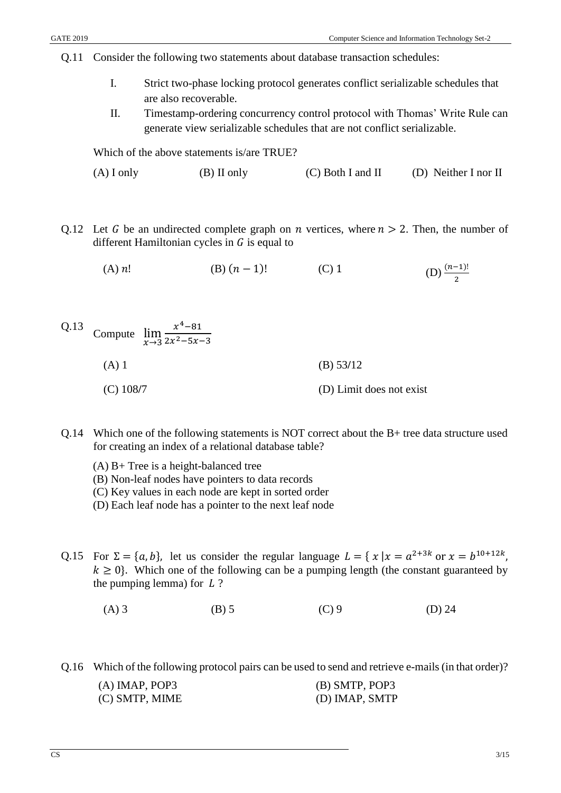- Q.11 Consider the following two statements about database transaction schedules:
	- I. Strict two-phase locking protocol generates conflict serializable schedules that are also recoverable.
	- II. Timestamp-ordering concurrency control protocol with Thomas' Write Rule can generate view serializable schedules that are not conflict serializable.

Which of the above statements is/are TRUE?

- (A) I only (B) II only (C) Both I and II (D) Neither I nor II
- Q.12 Let G be an undirected complete graph on n vertices, where  $n > 2$ . Then, the number of different Hamiltonian cycles in  $G$  is equal to

(A)  $n!$  (B)  $(n-1)!$  (C) 1 (D)  $\frac{(n-1)!}{2}$ 

- Q.13 Compute  $\lim_{x\to 3}$  $x^4 - 81$  $2x^2 - 5x - 3$ (A) 1 (B) 53**/**12 (C) 108**/**7 (D) Limit does not exist
- Q.14 Which one of the following statements is NOT correct about the B+ tree data structure used for creating an index of a relational database table?
	- (A) B+ Tree is a height-balanced tree
	- (B) Non-leaf nodes have pointers to data records
	- (C) Key values in each node are kept in sorted order
	- (D) Each leaf node has a pointer to the next leaf node
- Q.15 For  $\Sigma = \{a, b\}$ , let us consider the regular language  $L = \{x \mid x = a^{2+3k} \text{ or } x = b^{10+12k}\}$  $k \geq 0$ . Which one of the following can be a pumping length (the constant guaranteed by the pumping lemma) for  $L$ ?
	- (A) 3 (B) 5 (C) 9 (D) 24

Q.16 Which of the following protocol pairs can be used to send and retrieve e-mails (in that order)?

| $(A)$ IMAP, POP3 | (B) SMTP, POP3 |
|------------------|----------------|
| (C) SMTP, MIME   | (D) IMAP, SMTP |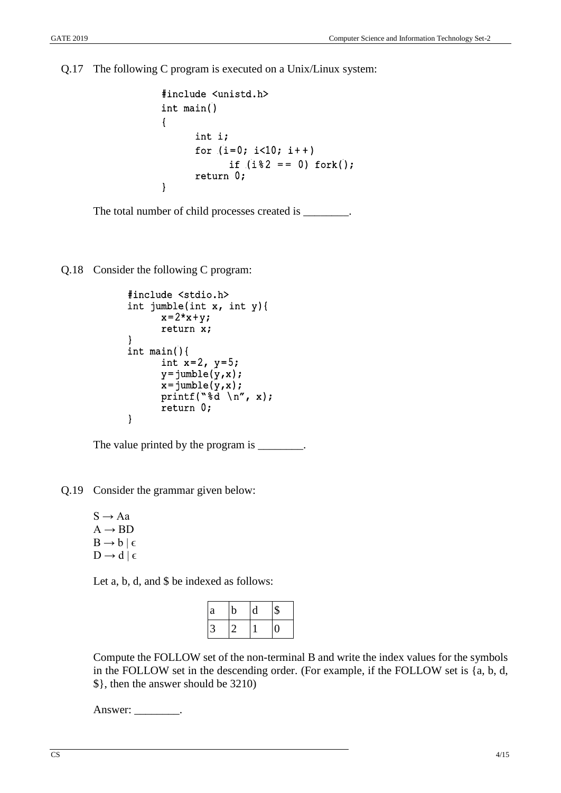Q.17 The following C program is executed on a Unix/Linux system:

```
#include <unistd.h> 
int main() 
{ 
       int i; 
      for (i=0; i<10; i++)if (i \& 2 == 0) fork();
       return 0;
}
```
The total number of child processes created is \_\_\_\_\_\_\_\_.

Q.18 Consider the following C program:

```
#include <stdio.h> 
int jumble(int x, int y){ 
      x=2*x+y;return x; 
} 
int main(){ 
      int x=2, y=5;
      y = jumble(y, x);x = jumble(y, x);printf("%d \n", x);
      return 0; 
}
```
The value printed by the program is \_\_\_\_\_\_\_\_.

Q.19 Consider the grammar given below:

 $S \rightarrow Aa$  $A \rightarrow BD$  $B \rightarrow b \mid \epsilon$  $D \rightarrow d \mid \epsilon$ 

Let a, b, d, and \$ be indexed as follows:

| a | b | d | \$ |
|---|---|---|----|
| 3 |   |   |    |

Compute the FOLLOW set of the non-terminal B and write the index values for the symbols in the FOLLOW set in the descending order. (For example, if the FOLLOW set is {a, b, d, \$}, then the answer should be 3210)

Answer: \_\_\_\_\_\_\_\_\_.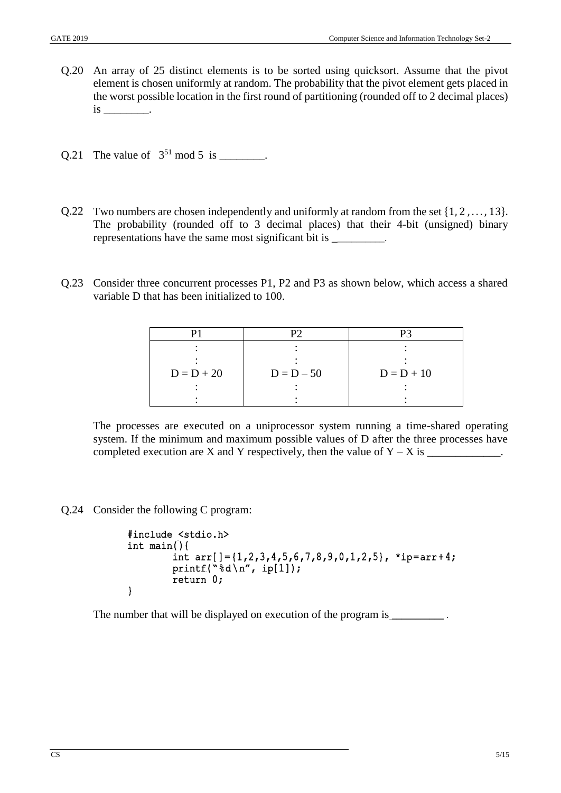- Q.20 An array of 25 distinct elements is to be sorted using quicksort. Assume that the pivot element is chosen uniformly at random. The probability that the pivot element gets placed in the worst possible location in the first round of partitioning (rounded off to 2 decimal places) is \_\_\_\_\_\_\_\_.
- Q.21 The value of  $3^{51}$  mod 5 is \_\_\_\_\_\_\_.
- Q.22 Two numbers are chosen independently and uniformly at random from the set  $\{1, 2, ..., 13\}$ . The probability (rounded off to 3 decimal places) that their 4-bit (unsigned) binary representations have the same most significant bit is \_\_\_\_\_\_\_\_\_.
- Q.23 Consider three concurrent processes P1, P2 and P3 as shown below, which access a shared variable D that has been initialized to 100.

| $D = D + 20$ | $D = D - 50$ | $D = D + 10$ |
|--------------|--------------|--------------|
|              |              |              |
|              |              |              |

The processes are executed on a uniprocessor system running a time-shared operating system. If the minimum and maximum possible values of D after the three processes have completed execution are X and Y respectively, then the value of  $Y - X$  is \_\_\_\_\_\_\_\_\_\_\_\_.

Q.24 Consider the following C program:

```
#include <stdio.h> 
int main(){ 
        int arr[]=\{1,2,3,4,5,6,7,8,9,0,1,2,5\}, *ip=arr+4;
        printf("%d\n", ip[1]);
         return 0; 
}
```
The number that will be displayed on execution of the program is \_\_\_\_\_\_\_\_\_\_\_\_\_.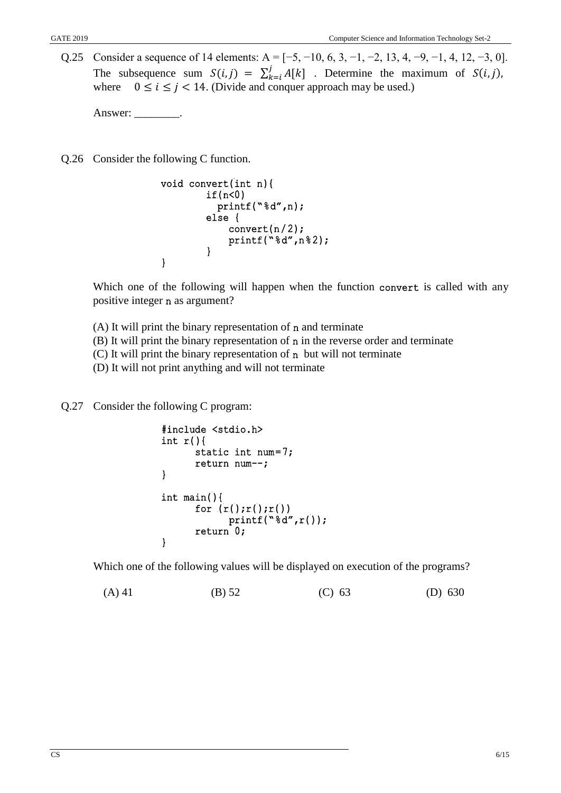Q.25 Consider a sequence of 14 elements:  $A = [-5, -10, 6, 3, -1, -2, 13, 4, -9, -1, 4, 12, -3, 0]$ . The subsequence sum  $S(i,j) = \sum_{k=i}^{j} A[k]$  $_{k=i}^{J} A[k]$  . Determine the maximum of  $S(i,j)$ , where  $0 \le i \le j < 14$ . (Divide and conquer approach may be used.)

Answer: \_\_\_\_\_\_\_\_.

Q.26 Consider the following C function.

```
void convert(int n){ 
        if(n<0) printf("%d",n); 
         else { 
            convert(n/2);
            printf("ad",n82);
 } 
}
```
Which one of the following will happen when the function convert is called with any positive integer n as argument?

- $(A)$  It will print the binary representation of n and terminate
- (B) It will print the binary representation of n in the reverse order and terminate
- (C) It will print the binary representation of n but will not terminate
- (D) It will not print anything and will not terminate

Q.27 Consider the following C program:

```
#include <stdio.h> 
int r() {
      static int num=7; 
      return num--; 
} 
int main(){ 
      for (r();r();r())
              printf("%d",r()); 
      return 0; 
}
```
Which one of the following values will be displayed on execution of the programs?

```
(A) 41 (B) 52 (C) 63 (D) 630
```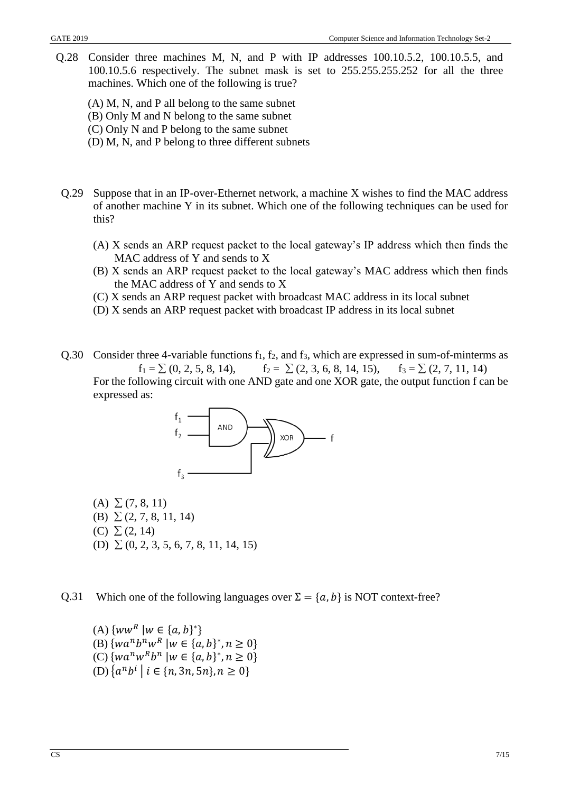- Q.28 Consider three machines M, N, and P with IP addresses 100.10.5.2, 100.10.5.5, and 100.10.5.6 respectively. The subnet mask is set to 255.255.255.252 for all the three machines. Which one of the following is true?
	- (A) M, N, and P all belong to the same subnet
	- (B) Only M and N belong to the same subnet
	- (C) Only N and P belong to the same subnet
	- (D) M, N, and P belong to three different subnets
- Q.29 Suppose that in an IP-over-Ethernet network, a machine X wishes to find the MAC address of another machine Y in its subnet. Which one of the following techniques can be used for this?
	- (A) X sends an ARP request packet to the local gateway's IP address which then finds the MAC address of Y and sends to X
	- (B) X sends an ARP request packet to the local gateway's MAC address which then finds the MAC address of Y and sends to X
	- (C) X sends an ARP request packet with broadcast MAC address in its local subnet
	- (D) X sends an ARP request packet with broadcast IP address in its local subnet

Q.30 Consider three 4-variable functions  $f_1$ ,  $f_2$ , and  $f_3$ , which are expressed in sum-of-minterms as  $f_1 = \sum (0, 2, 5, 8, 14),$   $f_2 = \sum (2, 3, 6, 8, 14, 15),$   $f_3 = \sum (2, 7, 11, 14)$ For the following circuit with one AND gate and one XOR gate, the output function f can be expressed as:



 $(A) \Sigma (7, 8, 11)$ (B)  $\Sigma$  (2, 7, 8, 11, 14) (C)  $\Sigma$  (2, 14) (D)  $\Sigma$  (0, 2, 3, 5, 6, 7, 8, 11, 14, 15)

Q.31 Which one of the following languages over  $\Sigma = \{a, b\}$  is NOT context-free?

(A)  $\{ww^R | w \in \{a, b\}^*\}$ (B)  $\{wa^n b^n w^R \mid w \in \{a, b\}^*, n \ge 0\}$ (C)  $\{wa^n w^R b^n \mid w \in \{a, b\}^*, n \ge 0\}$  $(D)$   $\{a^nb^i \mid i \in \{n, 3n, 5n\}, n \ge 0\}$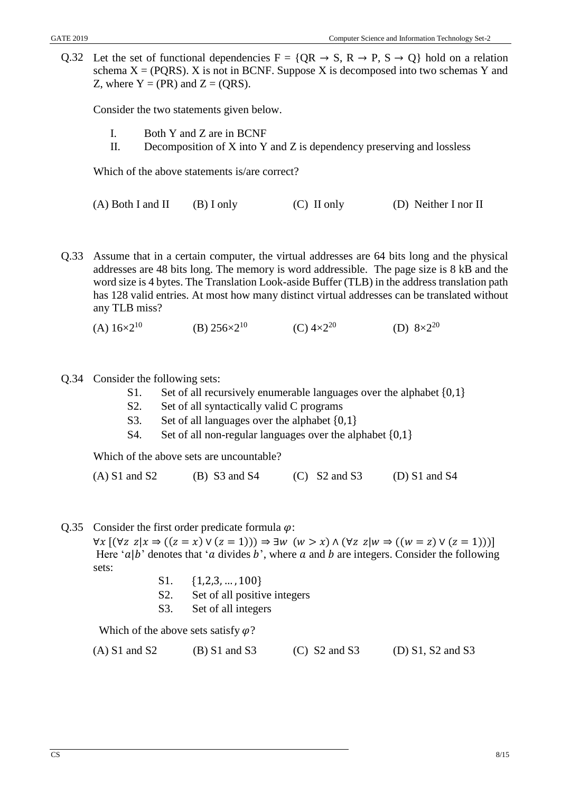Q.32 Let the set of functional dependencies  $F = \{OR \rightarrow S, R \rightarrow P, S \rightarrow O\}$  hold on a relation schema  $X = (PQRS)$ . X is not in BCNF. Suppose X is decomposed into two schemas Y and Z, where  $Y = (PR)$  and  $Z = (ORS)$ .

Consider the two statements given below.

- I. Both Y and Z are in BCNF
- II. Decomposition of  $X$  into  $Y$  and  $Z$  is dependency preserving and lossless

Which of the above statements is/are correct?

(A) Both I and II (B) I only (C) II only (D) Neither I nor II

- Q.33 Assume that in a certain computer, the virtual addresses are 64 bits long and the physical addresses are 48 bits long. The memory is word addressible. The page size is 8 kB and the word size is 4 bytes. The Translation Look-aside Buffer (TLB) in the address translation path has 128 valid entries. At most how many distinct virtual addresses can be translated without any TLB miss?
	- (A)  $16\times2^{10}$  (B)  $256\times2^{10}$  (C)  $4\times2^{20}$  (D)  $8\times2^{20}$

## Q.34 Consider the following sets:

- S1. Set of all recursively enumerable languages over the alphabet {0,1}
- S2. Set of all syntactically valid C programs
- S3. Set of all languages over the alphabet  $\{0,1\}$
- S4. Set of all non-regular languages over the alphabet {0,1}

Which of the above sets are uncountable?

(A) S1 and S2 (B) S3 and S4 (C) S2 and S3 (D) S1 and S4

Q.35 Consider the first order predicate formula  $\varphi$ :

 $\forall x \left[ (\forall z \ z | x \Rightarrow ((z = x) \vee (z = 1))) \Rightarrow \exists w \ (w > x) \wedge (\forall z \ z | w \Rightarrow ((w = z) \vee (z = 1))) \right]$ Here ' $a|b$ ' denotes that 'a divides b', where a and b are integers. Consider the following sets:

- S1. {1,2,3, … , 100}
- S2. Set of all positive integers
- S3. Set of all integers

Which of the above sets satisfy  $\varphi$ ?

| $(D)$ S1, S2 and S3<br>$(A)$ S1 and S2<br>$(B)$ S1 and S3<br>$(C)$ S2 and S3 |  |
|------------------------------------------------------------------------------|--|
|------------------------------------------------------------------------------|--|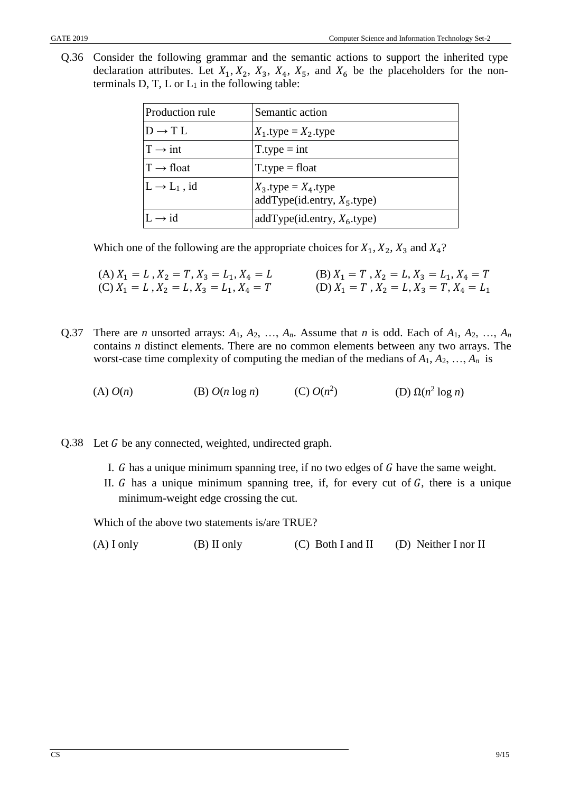Q.36 Consider the following grammar and the semantic actions to support the inherited type declaration attributes. Let  $X_1, X_2, X_3, X_4, X_5$ , and  $X_6$  be the placeholders for the nonterminals  $D, T, L$  or  $L_1$  in the following table:

| <b>Production rule</b>   | Semantic action                                           |
|--------------------------|-----------------------------------------------------------|
| $D \rightarrow T L$      | $X_1$ type = $X_2$ type                                   |
| $T \rightarrow int$      | $T_type = int$                                            |
| $T \rightarrow$ float    | $T.\text{type} = \text{float}$                            |
| $L \rightarrow L_1$ , id | $X_3$ type = $X_4$ type<br>addType(id.entry, $X_5$ .type) |
| $I \rightarrow id$       | addType(id.entry, $X_6$ .type)                            |

Which one of the following are the appropriate choices for  $X_1, X_2, X_3$  and  $X_4$ ?

(A) 
$$
X_1 = L
$$
,  $X_2 = T$ ,  $X_3 = L_1$ ,  $X_4 = L$   
\n(B)  $X_1 = T$ ,  $X_2 = L$ ,  $X_3 = L_1$ ,  $X_4 = T$   
\n(C)  $X_1 = L$ ,  $X_2 = L$ ,  $X_3 = L_1$ ,  $X_4 = T$   
\n(D)  $X_1 = T$ ,  $X_2 = L$ ,  $X_3 = T$ ,  $X_4 = L_1$ 

Q.37 There are *n* unsorted arrays:  $A_1$ ,  $A_2$ , ...,  $A_n$ . Assume that *n* is odd. Each of  $A_1$ ,  $A_2$ , ...,  $A_n$ contains *n* distinct elements. There are no common elements between any two arrays. The worst-case time complexity of computing the median of the medians of  $A_1, A_2, \ldots, A_n$  is

(A)  $O(n)$  (B)  $O(n \log n)$ (C)  $O(n^2)$ ) (D)  $Ω(n^2 \log n)$ 

- Q.38 Let G be any connected, weighted, undirected graph.
	- I.  $G$  has a unique minimum spanning tree, if no two edges of  $G$  have the same weight.
	- II.  $G$  has a unique minimum spanning tree, if, for every cut of  $G$ , there is a unique minimum-weight edge crossing the cut.

Which of the above two statements is/are TRUE?

| $(A)$ I only | $(B)$ II only | $(C)$ Both I and II | (D) Neither I nor II |
|--------------|---------------|---------------------|----------------------|
|--------------|---------------|---------------------|----------------------|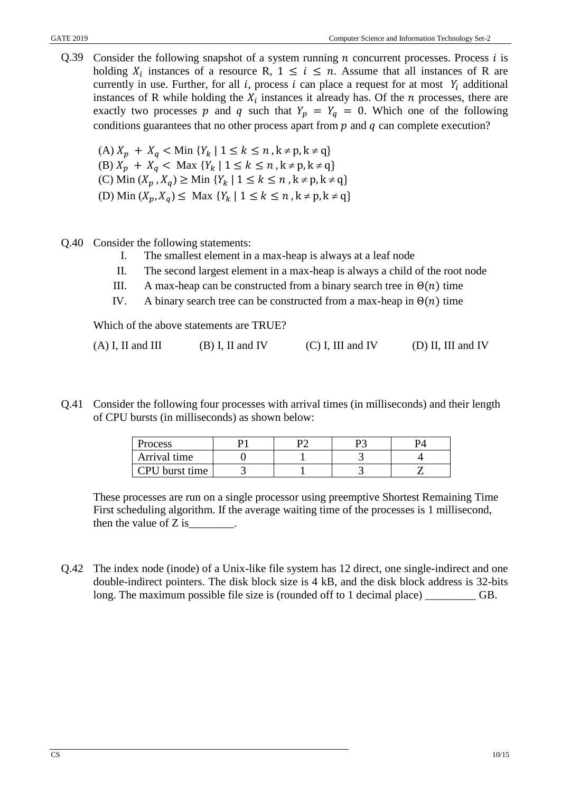Q.39 Consider the following snapshot of a system running  $n$  concurrent processes. Process  $i$  is holding  $X_i$  instances of a resource R,  $1 \leq i \leq n$ . Assume that all instances of R are currently in use. Further, for all i, process i can place a request for at most  $Y_i$  additional instances of R while holding the  $X_i$  instances it already has. Of the  $n$  processes, there are exactly two processes p and q such that  $Y_p = Y_q = 0$ . Which one of the following conditions guarantees that no other process apart from  $p$  and  $q$  can complete execution?

(A)  $X_p + X_q <$  Min  $\{Y_k | 1 \le k \le n, k \ne p, k \ne q\}$ (B)  $X_p + X_q <$  Max  $\{Y_k | 1 \le k \le n, k \ne p, k \ne q\}$ (C) Min  $(X_p, X_q) \geq$  Min  $\{Y_k \mid 1 \leq k \leq n \}, k \neq p, k \neq q\}$ (D) Min  $(X_p, X_q) \leq$  Max  $\{Y_k \mid 1 \leq k \leq n \}, k \neq p, k \neq q\}$ 

- Q.40 Consider the following statements:
	- I. The smallest element in a max-heap is always at a leaf node
	- II. The second largest element in a max-heap is always a child of the root node
	- III. A max-heap can be constructed from a binary search tree in  $\Theta(n)$  time
	- IV. A binary search tree can be constructed from a max-heap in  $\Theta(n)$  time

Which of the above statements are TRUE?

| $(A)$ I, II and III | $(B)$ I, II and IV | $(C)$ I, III and IV | $(D)$ II, III and IV |
|---------------------|--------------------|---------------------|----------------------|
|---------------------|--------------------|---------------------|----------------------|

Q.41 Consider the following four processes with arrival times (in milliseconds) and their length of CPU bursts (in milliseconds) as shown below:

| Process          |  |  |
|------------------|--|--|
| Arrival time     |  |  |
| CPU burst time 1 |  |  |

These processes are run on a single processor using preemptive Shortest Remaining Time First scheduling algorithm. If the average waiting time of the processes is 1 millisecond, then the value of  $Z$  is \_\_\_\_\_\_\_.

Q.42 The index node (inode) of a Unix-like file system has 12 direct, one single-indirect and one double-indirect pointers. The disk block size is 4 kB, and the disk block address is 32-bits long. The maximum possible file size is (rounded off to 1 decimal place) \_\_\_\_\_\_\_\_\_ GB.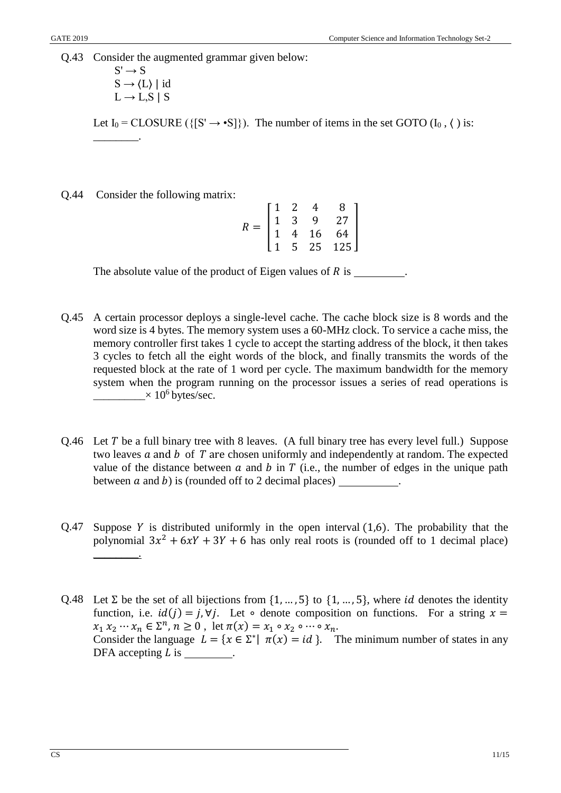Q.43 Consider the augmented grammar given below:

$$
S' \rightarrow S
$$
  
\n
$$
S \rightarrow \langle L \rangle | id
$$
  
\n
$$
L \rightarrow L, S | S
$$

Let  $I_0 = \text{CLOSURE } (\{ [S' \rightarrow \bullet S] \})$ . The number of items in the set GOTO  $(I_0, \langle )$  is: \_\_\_\_\_\_\_\_.

Q.44 Consider the following matrix:

|     | I 1 | 2                                              |                                                   | 8                              |  |
|-----|-----|------------------------------------------------|---------------------------------------------------|--------------------------------|--|
| $=$ |     | $\begin{array}{cc} 1 & 3 \\ 1 & 4 \end{array}$ | $\begin{array}{c} 4 \\ 9 \\ 16 \\ 25 \end{array}$ | 27                             |  |
|     |     |                                                |                                                   | 64<br>$\overline{\phantom{a}}$ |  |
|     |     | 5 <sup>1</sup>                                 |                                                   | 125                            |  |

The absolute value of the product of Eigen values of  $R$  is  $\overline{\phantom{a}}$ 

- Q.45 A certain processor deploys a single-level cache. The cache block size is 8 words and the word size is 4 bytes. The memory system uses a 60-MHz clock. To service a cache miss, the memory controller first takes 1 cycle to accept the starting address of the block, it then takes 3 cycles to fetch all the eight words of the block, and finally transmits the words of the requested block at the rate of 1 word per cycle. The maximum bandwidth for the memory system when the program running on the processor issues a series of read operations is  $\longrightarrow$  10<sup>6</sup> bytes/sec.
- Q.46 Let T be a full binary tree with 8 leaves. (A full binary tree has every level full.) Suppose two leaves  $a$  and  $b$  of  $T$  are chosen uniformly and independently at random. The expected value of the distance between  $a$  and  $b$  in  $T$  (i.e., the number of edges in the unique path between  $a$  and  $b$ ) is (rounded off to 2 decimal places)  $\qquad \qquad$ .
- Q.47 Suppose Y is distributed uniformly in the open interval  $(1,6)$ . The probability that the polynomial  $3x^2 + 6xY + 3Y + 6$  has only real roots is (rounded off to 1 decimal place) \_\_\_\_\_\_\_\_.
- Q.48 Let  $\Sigma$  be the set of all bijections from  $\{1, ..., 5\}$  to  $\{1, ..., 5\}$ , where *id* denotes the identity function, i.e.  $id(j) = j, \forall j$ . Let ∘ denote composition on functions. For a string  $x =$  $x_1 x_2 \cdots x_n \in \Sigma^n$ ,  $n \ge 0$ , let  $\pi(x) = x_1 \circ x_2 \circ \cdots \circ x_n$ . Consider the language  $L = \{x \in \Sigma^* | \pi(x) = id \}$ . The minimum number of states in any DFA accepting  $L$  is  $\_\_\_\_\_\_\_\_\_\_\_\.\$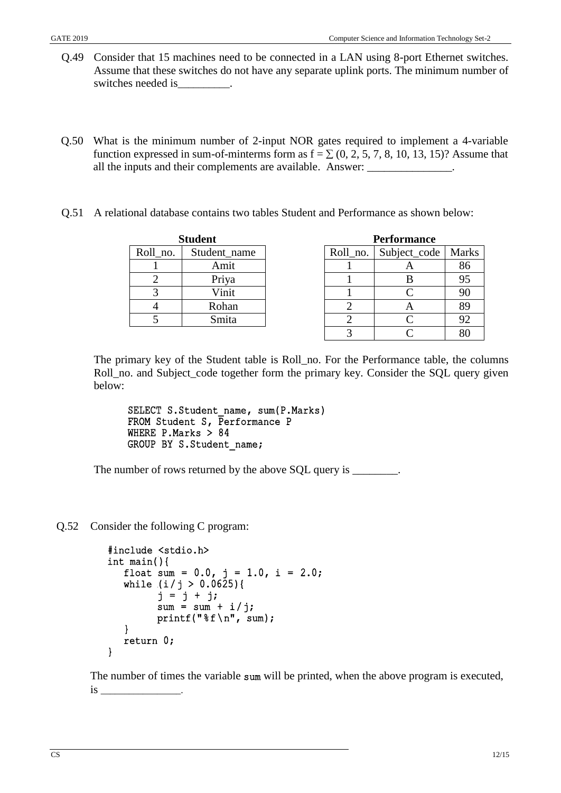- Q.49 Consider that 15 machines need to be connected in a LAN using 8-port Ethernet switches. Assume that these switches do not have any separate uplink ports. The minimum number of switches needed is
- Q.50 What is the minimum number of 2-input NOR gates required to implement a 4-variable function expressed in sum-of-minterms form as  $f = \sum (0, 2, 5, 7, 8, 10, 13, 15)$ ? Assume that all the inputs and their complements are available. Answer: \_\_\_\_\_\_\_\_\_\_\_\_\_\_\_\_\_\_\_\_\_
- Q.51 A relational database contains two tables Student and Performance as shown below:

| <b>Student</b> |              |  |  |  |
|----------------|--------------|--|--|--|
| Roll_no.       | Student_name |  |  |  |
|                | Amit         |  |  |  |
|                | Priya        |  |  |  |
|                | Vinit        |  |  |  |
|                | Rohan        |  |  |  |
|                | Smita        |  |  |  |

| <b>Performance</b> |              |    |  |  |  |
|--------------------|--------------|----|--|--|--|
| Roll no.           | Subject_code |    |  |  |  |
|                    |              | 86 |  |  |  |
|                    | B            | 95 |  |  |  |
|                    | C            | 90 |  |  |  |
| 2                  |              | 89 |  |  |  |
| 2.                 | $\subset$    | 92 |  |  |  |
|                    | ⌒            |    |  |  |  |

The primary key of the Student table is Roll\_no. For the Performance table, the columns Roll\_no. and Subject\_code together form the primary key. Consider the SQL query given below:

SELECT S.Student name, sum(P.Marks) FROM Student S, Performance P WHERE P.Marks > 84 GROUP BY S.Student\_name;

The number of rows returned by the above SQL query is \_\_\_\_\_\_\_\_.

Q.52 Consider the following C program:

```
#include <stdio.h> 
int main(){ 
   float sum = 0.0, j = 1.0, i = 2.0;
   while (i / j > 0.0625) {
         j = j + j;sum = sum + i/j;printf("%f\n", sum);
   } 
  return 0; 
}
```
The number of times the variable sum will be printed, when the above program is executed, is \_\_\_\_\_\_\_\_\_\_\_\_\_\_\_\_\_.